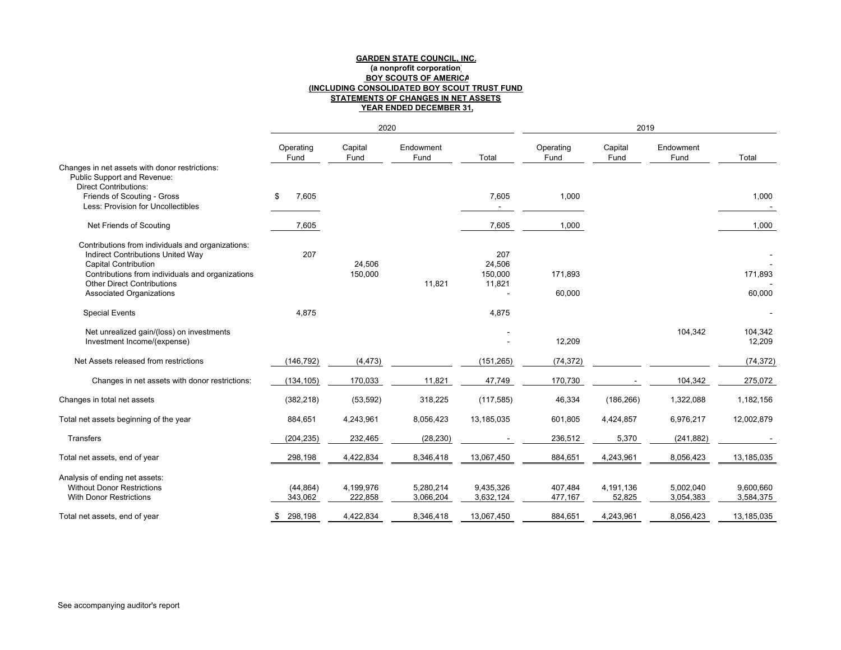**GARDEN STATE COUNCIL, INC.<br>| (a nonprofit corporation)<br>| BOY SCOUTS OF AMERICA<br>| INCLUDING CONSOLIDATED BOY SCOUT TRUST FUND)<br>| STATEMENTS OF CHANGES IN NET ASSETS (INCLUDING CONSOLIDATED BOY SCOUT TRUST FUND) STATEMENTS OF CHANGES IN NET ASSETS GARDEN STATE COUNCIL, INC. BOY SCOUTS OF AMERICA (a nonprofit corporation)**

|                                                                                                                                                                                                                              |                         |                      | <b>YEAR ENDED DECEMBER 31,</b> |                                    |                    |                     |                        |                        |
|------------------------------------------------------------------------------------------------------------------------------------------------------------------------------------------------------------------------------|-------------------------|----------------------|--------------------------------|------------------------------------|--------------------|---------------------|------------------------|------------------------|
|                                                                                                                                                                                                                              |                         | 2020                 |                                |                                    |                    | 2019                |                        |                        |
|                                                                                                                                                                                                                              | Operating<br>Fund       | Capital<br>Fund      | Endowment<br>Fund              | Total                              | Operating<br>Fund  | Capital<br>Fund     | Endowment<br>Fund      | Total                  |
| Changes in net assets with donor restrictions:<br>Less: Provision for Uncollectibles<br>Friends of Scouting - Gross<br>Public Support and Revenue:<br>Direct Contributions:                                                  | 7,605<br>↔              |                      |                                | 7,605                              | 1,000              |                     |                        | 1,000                  |
| Net Friends of Scouting                                                                                                                                                                                                      | 7,605                   |                      |                                | 7,605                              | 1,000              |                     |                        | 1,000                  |
| Contributions from individuals and organizations<br>Contributions from individuals and organizations:<br>Indirect Contributions United Way<br>Other Direct Contributions<br>Associated Organizations<br>Capital Contribution | 207                     | 24,506<br>150,000    | 11,821                         | 24,506<br>150,000<br>207<br>11,821 | 171,893<br>60,000  |                     |                        | 171,893<br>60,000      |
| Special Events                                                                                                                                                                                                               | 4,875                   |                      |                                | 4,875                              |                    |                     |                        |                        |
| Net unrealized gain/(loss) on investments<br>Investment Income/(expense)                                                                                                                                                     |                         |                      |                                |                                    | 12,209             |                     | 104,342                | 104,342<br>12,209      |
| Net Assets released from restrictions                                                                                                                                                                                        | (146, 792)              | (4, 473)             |                                | (151, 265)                         | (74, 372)          |                     |                        | (74, 372)              |
| Changes in net assets with donor restrictions:                                                                                                                                                                               | (134, 105)              | 170,033              | 11,821                         | 47,749                             | 170,730            |                     | 104,342                | 275,072                |
| Changes in total net assets                                                                                                                                                                                                  | (382,218)               | (53, 592)            | 318,225                        | (117, 585)                         | 46,334             | (186, 266)          | 1,322,088              | 1,182,156              |
| Total net assets beginning of the year                                                                                                                                                                                       | 884,651                 | 4,243,961            | 8,056,423                      | 13,185,035                         | 601,805            | 4,424,857           | 6,976,217              | 12,002,879             |
| Transfers                                                                                                                                                                                                                    | (204, 235)              | 232,465              | (28, 230)                      |                                    | 236,512            | 5,370               | (241, 882)             |                        |
| Total net assets, end of year                                                                                                                                                                                                | 298,198                 | 4,422,834            | 8,346,418                      | 13,067,450                         | 884,651            | 4,243,961           | 8,056,423              | 13,185,035             |
| Analysis of ending net assets:<br>Without Donor Restrictions<br>With Donor Restrictions                                                                                                                                      | $(44,864)$<br>$343,062$ | 4,199,976<br>222,858 | 5,280,214<br>3,066,204         | 9,435,326<br>3,632,124             | 407,484<br>477,167 | 4,191,136<br>52,825 | 5,002,040<br>3,054,383 | 9,600,660<br>3,584,375 |
| Total net assets, end of year                                                                                                                                                                                                | 298,198<br>↔            | 4,422,834            | 8,346,418                      | 13,067,450                         | 884,651            | 4,243,961           | 8,056,423              | 13, 185, 035           |

See accompanying auditor's report See accompanying auditor's report